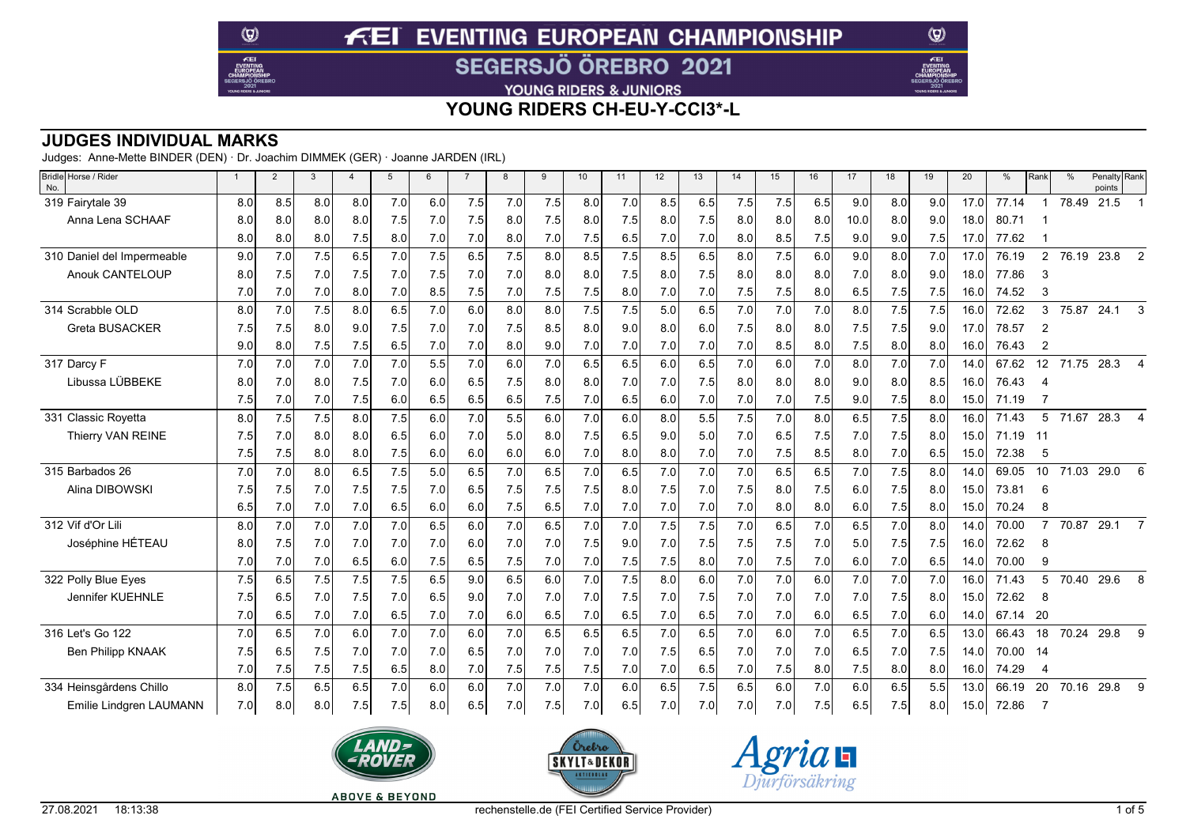## **FEI EVENTING EUROPEAN CHAMPIONSHIP**

**SEGERSJÖ ÖREBRO 2021** 

YOUNG RIDERS & JUNIORS

**YOUNG RIDERS CH-EU-Y-CCI3\*-L**

#### **JUDGES INDIVIDUAL MARKS**

Judges: Anne-Mette BINDER (DEN) · Dr. Joachim DIMMEK (GER) · Joanne JARDEN (IRL)

 $\circledcirc$ 

 $f(E)$ 

| Bridle Horse / Rider<br>No. | $\overline{1}$ | $\overline{2}$ | $\mathbf{3}$ | $\overline{4}$ | 5   | 6   |     | 8   | 9   | 10  | 11  | 12               | 13  | 14  | 15  | 16  | 17               | 18  | 19  | 20   | $\%$     | Rank            | $\frac{0}{0}$ | Penalty Rank<br>points |                |
|-----------------------------|----------------|----------------|--------------|----------------|-----|-----|-----|-----|-----|-----|-----|------------------|-----|-----|-----|-----|------------------|-----|-----|------|----------|-----------------|---------------|------------------------|----------------|
| 319 Fairvtale 39            | 8.0            | 8.5            | 8.0          | 8.0            | 7.0 | 6.0 | 7.5 | 7.0 | 7.5 | 8.0 | 7.0 | 8.5              | 6.5 | 7.5 | 7.5 | 6.5 | 9.0              | 8.0 | 9.0 | 17.0 | 77.14    |                 | 78.49         | 21.5                   |                |
| Anna Lena SCHAAF            | 8.0            | 8.0            | 8.0          | 8.0            | 7.5 | 7.0 | 7.5 | 8.0 | 7.5 | 8.0 | 7.5 | 8.0              | 7.5 | 8.0 | 8.0 | 8.0 | 10.0             | 8.0 | 9.0 | 18.0 | 80.71    |                 |               |                        |                |
|                             | 8.0            | 8.0            | 8.0          | 7.5            | 8.0 | 7.0 | 7.0 | 8.0 | 7.0 | 7.5 | 6.5 | 7.0              | 7.0 | 8.0 | 8.5 | 7.5 | 9.0              | 9.0 | 7.5 | 17.0 | 77.62    |                 |               |                        |                |
| 310 Daniel del Impermeable  | 9.0            | 7.0            | 7.5          | 6.5            | 7.0 | 7.5 | 6.5 | 7.5 | 8.0 | 8.5 | 7.5 | 8.5              | 6.5 | 8.0 | 7.5 | 6.0 | 9.0              | 8.0 | 7.0 | 17.0 | 76.19    | 2               | 76.19         | 23.8                   | $\overline{2}$ |
| <b>Anouk CANTELOUP</b>      | 8.0            | 7.5            | 7.0          | 7.5            | 7.0 | 7.5 | 7.0 | 7.0 | 8.0 | 8.0 | 7.5 | 8.0 <sub>l</sub> | 7.5 | 8.0 | 8.0 | 8.0 | 7.0              | 8.0 | 9.0 | 18.0 | 77.86    | 3               |               |                        |                |
|                             | 7.0            | 7.0            | 7.0          | 8.0            | 7.0 | 8.5 | 7.5 | 7.0 | 7.5 | 7.5 | 8.0 | 7.0              | 7.0 | 7.5 | 7.5 | 8.0 | 6.5              | 7.5 | 7.5 | 16.0 | 74.52    | 3               |               |                        |                |
| 314 Scrabble OLD            | 8.0            | 7.0            | 7.5          | 8.0            | 6.5 | 7.0 | 6.0 | 8.0 | 8.0 | 7.5 | 7.5 | 5.0              | 6.5 | 7.0 | 7.0 | 7.0 | 8.0              | 7.5 | 7.5 | 16.0 | 72.62    | 3               | 75.87         | 24.1                   | $\mathcal{R}$  |
| <b>Greta BUSACKER</b>       | 7.5            | 7.5            | 8.0          | 9.0            | 7.5 | 7.0 | 7.0 | 7.5 | 8.5 | 8.0 | 9.0 | 8.0              | 6.0 | 7.5 | 8.0 | 8.0 | 7.5              | 7.5 | 9.0 | 17.0 | 78.57    | $\overline{2}$  |               |                        |                |
|                             | 9.0            | 8.0            | 7.5          | 7.5            | 6.5 | 7.0 | 7.0 | 8.0 | 9.0 | 7.0 | 7.0 | 7.0              | 7.0 | 7.0 | 8.5 | 8.0 | 7.5              | 8.0 | 8.0 | 16.0 | 76.43    | $\overline{2}$  |               |                        |                |
| 317 Darcy F                 | 7.0            | 7.0            | 7.0          | 7.0            | 7.0 | 5.5 | 7.0 | 6.0 | 7.0 | 6.5 | 6.5 | 6.0              | 6.5 | 7.0 | 6.0 | 7.0 | 8.0              | 7.0 | 7.0 | 14.0 | 67.62    | 12              | 71.75         | 28.3                   | 4              |
| Libussa LÜBBEKE             | 8.0            | 7.0            | 8.0          | 7.5            | 7.0 | 6.0 | 6.5 | 7.5 | 8.0 | 8.0 | 7.0 | 7.0              | 7.5 | 8.0 | 8.0 | 8.0 | 9.0 <sub>l</sub> | 8.0 | 8.5 | 16.0 | 76.43    |                 |               |                        |                |
|                             | 7.5            | 7.0            | 7.0          | 7.5            | 6.0 | 6.5 | 6.5 | 6.5 | 7.5 | 7.0 | 6.5 | 6.0              | 7.0 | 7.0 | 7.0 | 7.5 | 9.0              | 7.5 | 8.0 | 15.0 | 71.19    |                 |               |                        |                |
| 331 Classic Royetta         | 8.0            | 7.5            | 7.5          | 8.0            | 7.5 | 6.0 | 7.0 | 5.5 | 6.0 | 7.0 | 6.0 | 8.0              | 5.5 | 7.5 | 7.0 | 8.0 | 6.5              | 7.5 | 8.0 | 16.0 | 71.43    | 5               | 71.67         | 28.3                   |                |
| Thierry VAN REINE           | 7.5            | 7.0            | 8.0          | 8.0            | 6.5 | 6.0 | 7.0 | 5.0 | 8.0 | 7.5 | 6.5 | 9.0              | 5.0 | 7.0 | 6.5 | 7.5 | 7.0              | 7.5 | 8.0 | 15.0 | 71.19 11 |                 |               |                        |                |
|                             | 7.5            | 7.5            | 8.0          | 8.0            | 7.5 | 6.0 | 6.0 | 6.0 | 6.0 | 7.0 | 8.0 | 8.0              | 7.0 | 7.0 | 7.5 | 8.5 | 8.0              | 7.0 | 6.5 | 15.0 | 72.38    | -5              |               |                        |                |
| 315 Barbados 26             | 7.0            | 7.0            | 8.0          | 6.5            | 7.5 | 5.0 | 6.5 | 7.0 | 6.5 | 7.0 | 6.5 | 7.0              | 7.0 | 7.0 | 6.5 | 6.5 | 7.0              | 7.5 | 8.0 | 14.0 | 69.05    | 10 <sup>°</sup> | 71.03         | 29.0                   | 6              |
| Alina DIBOWSKI              | 7.5            | 7.5            | 7.0          | 7.5            | 7.5 | 7.0 | 6.5 | 7.5 | 7.5 | 7.5 | 8.0 | 7.5              | 7.0 | 7.5 | 8.0 | 7.5 | 6.0              | 7.5 | 8.0 | 15.0 | 73.81    | 6               |               |                        |                |
|                             | 6.5            | 7.0            | 7.0          | 7.0            | 6.5 | 6.0 | 6.0 | 7.5 | 6.5 | 7.0 | 7.0 | 7.0              | 7.0 | 7.0 | 8.0 | 8.0 | 6.0              | 7.5 | 8.0 | 15.0 | 70.24    | 8               |               |                        |                |
| 312 Vif d'Or Lili           | 8.0            | 7.0            | 7.0          | 7.0            | 7.0 | 6.5 | 6.0 | 7.0 | 6.5 | 7.0 | 7.0 | 7.5              | 7.5 | 7.0 | 6.5 | 7.0 | 6.5              | 7.0 | 8.0 | 14.0 | 70.00    | $\overline{7}$  | 70.87         | 29.1                   |                |
| Joséphine HÉTEAU            | 8.0            | 7.5            | 7.0          | 7.0            | 7.0 | 7.0 | 6.0 | 7.0 | 7.0 | 7.5 | 9.0 | 7.0              | 7.5 | 7.5 | 7.5 | 7.0 | 5.0              | 7.5 | 7.5 | 16.0 | 72.62    | 8               |               |                        |                |
|                             | 7.0            | 7.0            | 7.0          | 6.5            | 6.0 | 7.5 | 6.5 | 7.5 | 7.0 | 7.0 | 7.5 | 7.5              | 8.0 | 7.0 | 7.5 | 7.0 | 6.0              | 7.0 | 6.5 | 14.0 | 70.00    | 9               |               |                        |                |
| 322 Polly Blue Eyes         | 7.5            | 6.5            | 7.5          | 7.5            | 7.5 | 6.5 | 9.0 | 6.5 | 6.0 | 7.0 | 7.5 | 8.0              | 6.0 | 7.0 | 7.0 | 6.0 | 7.0              | 7.0 | 7.0 | 16.0 | 71.43    | 5               | 70.40         | 29.6                   | 8              |
| Jennifer KUEHNLE            | 7.5            | 6.5            | 7.0          | 7.5            | 7.0 | 6.5 | 9.0 | 7.0 | 7.0 | 7.0 | 7.5 | 7.0              | 7.5 | 7.0 | 7.0 | 7.0 | 7.0              | 7.5 | 8.0 | 15.0 | 72.62    | 8               |               |                        |                |
|                             | 7.0            | 6.5            | 7.0          | 7.0            | 6.5 | 7.0 | 7.0 | 6.0 | 6.5 | 7.0 | 6.5 | 7.0              | 6.5 | 7.0 | 7.0 | 6.0 | 6.5              | 7.0 | 6.0 | 14.0 | 67.14    | 20              |               |                        |                |
| 316 Let's Go 122            | 7.0            | 6.5            | 7.0          | 6.0            | 7.0 | 7.0 | 6.0 | 7.0 | 6.5 | 6.5 | 6.5 | 7.0              | 6.5 | 7.0 | 6.0 | 7.0 | 6.5              | 7.0 | 6.5 | 13.0 | 66.43    | 18              | 70.24         | 29.8                   | 9              |
| <b>Ben Philipp KNAAK</b>    | 7.5            | 6.5            | 7.5          | 7.0            | 7.0 | 7.0 | 6.5 | 7.0 | 7.0 | 7.0 | 7.0 | 7.5              | 6.5 | 7.0 | 7.0 | 7.0 | 6.5              | 7.0 | 7.5 | 14.0 | 70.00    | - 14            |               |                        |                |
|                             | 7.0            | 7.5            | 7.5          | 7.5            | 6.5 | 8.0 | 7.0 | 7.5 | 7.5 | 7.5 | 7.0 | 7.0              | 6.5 | 7.0 | 7.5 | 8.0 | 7.5              | 8.0 | 8.0 | 16.0 | 74.29    | Δ               |               |                        |                |
| 334 Heinsgårdens Chillo     | 8.0            | 7.5            | 6.5          | 6.5            | 7.0 | 6.0 | 6.0 | 7.0 | 7.0 | 7.0 | 6.0 | 6.5              | 7.5 | 6.5 | 6.0 | 7.0 | 6.0              | 6.5 | 5.5 | 13.0 | 66.19    | 20              | 70.16         | 29.8                   | 9              |
| Emilie Lindgren LAUMANN     | 7.0            | 8.0            | 8.0          | 7.5            | 7.5 | 8.0 | 6.5 | 7.0 | 7.5 | 7.0 | 6.5 | 7.0              | 7.0 | 7.0 | 7.0 | 7.5 | 6.5              | 7.5 | 8.0 | 15.0 | 72.86    |                 |               |                        |                |







 $\circledcirc$ 

**KE** 

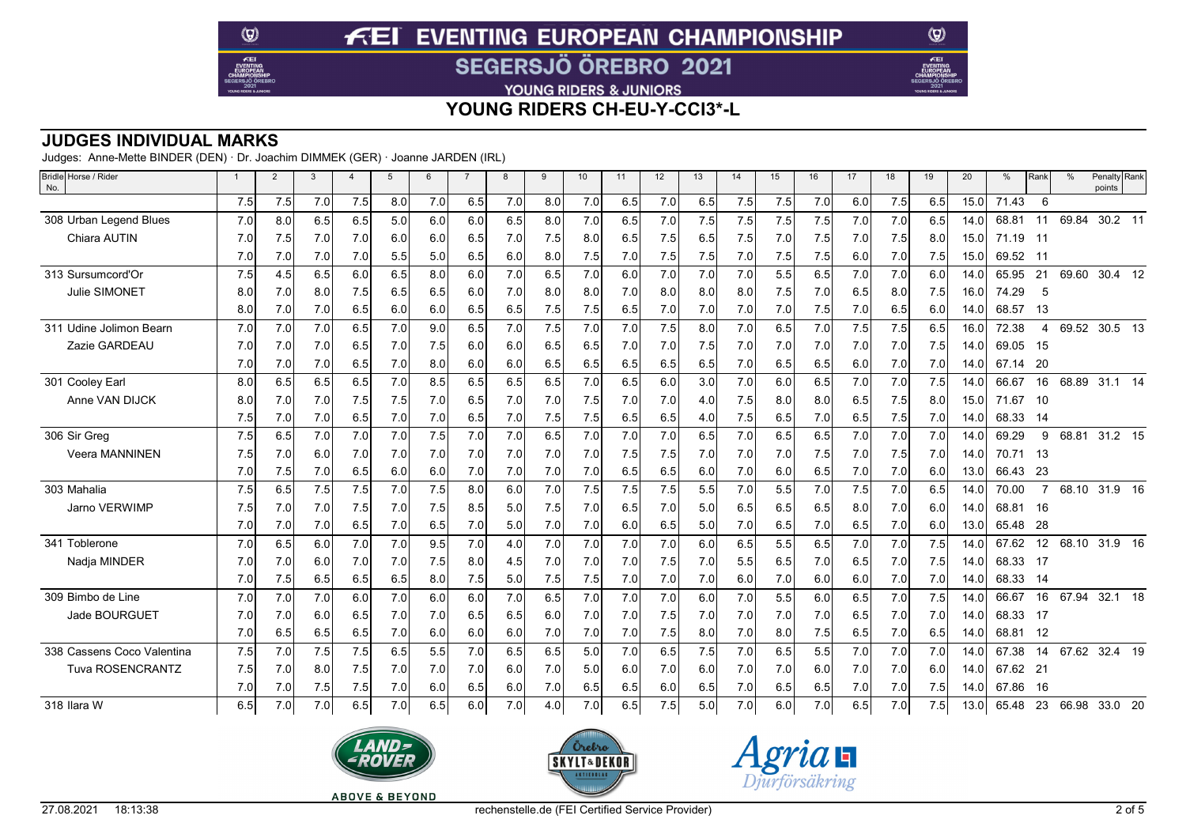# **FEI EVENTING EUROPEAN CHAMPIONSHIP**

**SEGERSJÖ ÖREBRO 2021** 

YOUNG RIDERS & JUNIORS

**YOUNG RIDERS CH-EU-Y-CCI3\*-L**

#### **JUDGES INDIVIDUAL MARKS**

Judges: Anne-Mette BINDER (DEN) · Dr. Joachim DIMMEK (GER) · Joanne JARDEN (IRL)

 $\circledcirc$ 

 $E =$ 

| Bridle Horse / Rider<br>No. | $\mathbf{1}$ | $\overline{2}$   | $\mathbf{3}$ | $\overline{4}$ | 5   | 6   | $\overline{7}$ | 8   | 9   | 10  | 11  | 12  | 13  | 14  | 15  | 16  | 17  | 18  | 19  | 20   | $\%$  | Rank           | $\frac{0}{0}$ | Penalty Rank<br>points |  |
|-----------------------------|--------------|------------------|--------------|----------------|-----|-----|----------------|-----|-----|-----|-----|-----|-----|-----|-----|-----|-----|-----|-----|------|-------|----------------|---------------|------------------------|--|
|                             | 7.5          | 7.5              | 7.0          | 7.5            | 8.0 | 7.0 | 6.5            | 7.0 | 8.0 | 7.0 | 6.5 | 7.0 | 6.5 | 7.5 | 7.5 | 7.0 | 6.0 | 7.5 | 6.5 | 15.0 | 71.43 | 6              |               |                        |  |
| 308 Urban Legend Blues      | 7.0          | 8.0 <sub>l</sub> | 6.5          | 6.5            | 5.0 | 6.0 | 6.0            | 6.5 | 8.0 | 7.0 | 6.5 | 7.0 | 7.5 | 7.5 | 7.5 | 7.5 | 7.0 | 7.0 | 6.5 | 14.0 | 68.81 | 11             | 69.84         | 30.2 11                |  |
| Chiara AUTIN                | 7.0          | 7.5              | 7.0          | 7.0            | 6.0 | 6.0 | 6.5            | 7.0 | 7.5 | 8.0 | 6.5 | 7.5 | 6.5 | 7.5 | 7.0 | 7.5 | 7.0 | 7.5 | 8.0 | 15.0 | 71.19 | $-11$          |               |                        |  |
|                             | 7.0          | 7.0              | 7.0          | 7.0            | 5.5 | 5.0 | 6.5            | 6.0 | 8.0 | 7.5 | 7.0 | 7.5 | 7.5 | 7.0 | 7.5 | 7.5 | 6.0 | 7.0 | 7.5 | 15.0 | 69.52 | $-11$          |               |                        |  |
| 313 Sursumcord'Or           | 7.5          | 4.5              | 6.5          | 6.0            | 6.5 | 8.0 | 6.0            | 7.0 | 6.5 | 7.0 | 6.0 | 7.0 | 7.0 | 7.0 | 5.5 | 6.5 | 7.0 | 7.0 | 6.0 | 14.0 | 65.95 | 21             | 69.60         | $30.4 \quad 12$        |  |
| Julie SIMONET               | 8.0          | 7.0              | 8.0          | 7.5            | 6.5 | 6.5 | 6.0            | 7.0 | 8.0 | 8.0 | 7.0 | 8.0 | 8.0 | 8.0 | 7.5 | 7.0 | 6.5 | 8.0 | 7.5 | 16.0 | 74.29 | 5              |               |                        |  |
|                             | 8.0          | 7.0              | 7.0          | 6.5            | 6.0 | 6.0 | 6.5            | 6.5 | 7.5 | 7.5 | 6.5 | 7.0 | 7.0 | 7.0 | 7.0 | 7.5 | 7.0 | 6.5 | 6.0 | 14.0 | 68.57 | -13            |               |                        |  |
| 311 Udine Jolimon Bearn     | 7.0          | 7.0              | 7.0          | 6.5            | 7.0 | 9.0 | 6.5            | 7.0 | 7.5 | 7.0 | 7.0 | 7.5 | 8.0 | 7.0 | 6.5 | 7.0 | 7.5 | 7.5 | 6.5 | 16.0 | 72.38 | 4              | 69.52         | 30.5 $\overline{13}$   |  |
| Zazie GARDEAU               | 7.0          | 7.0              | 7.0          | 6.5            | 7.0 | 7.5 | 6.0            | 6.0 | 6.5 | 6.5 | 7.0 | 7.0 | 7.5 | 7.0 | 7.0 | 7.0 | 7.0 | 7.0 | 7.5 | 14.0 | 69.05 | - 15           |               |                        |  |
|                             | 7.0          | 7.0              | 7.0          | 6.5            | 7.0 | 8.0 | 6.0            | 6.0 | 6.5 | 6.5 | 6.5 | 6.5 | 6.5 | 7.0 | 6.5 | 6.5 | 6.0 | 7.0 | 7.0 | 14.0 | 67.14 | 20             |               |                        |  |
| 301 Cooley Earl             | 8.0          | 6.5              | 6.5          | 6.5            | 7.0 | 8.5 | 6.5            | 6.5 | 6.5 | 7.0 | 6.5 | 6.0 | 3.0 | 7.0 | 6.0 | 6.5 | 7.0 | 7.0 | 7.5 | 14.0 | 66.67 | 16             |               | 68.89 31.1 14          |  |
| Anne VAN DIJCK              | 8.0          | 7.0              | 7.0          | 7.5            | 7.5 | 7.0 | 6.5            | 7.0 | 7.0 | 7.5 | 7.0 | 7.0 | 4.0 | 7.5 | 8.0 | 8.0 | 6.5 | 7.5 | 8.0 | 15.0 | 71.67 | 10             |               |                        |  |
|                             | 7.5          | 7.0              | 7.0          | 6.5            | 7.0 | 7.0 | 6.5            | 7.0 | 7.5 | 7.5 | 6.5 | 6.5 | 4.0 | 7.5 | 6.5 | 7.0 | 6.5 | 7.5 | 7.0 | 14.0 | 68.33 | -14            |               |                        |  |
| 306 Sir Greg                | 7.5          | 6.5              | 7.0          | 7.0            | 7.0 | 7.5 | 7.0            | 7.0 | 6.5 | 7.0 | 7.0 | 7.0 | 6.5 | 7.0 | 6.5 | 6.5 | 7.0 | 7.0 | 7.0 | 14.0 | 69.29 | 9              | 68.81         | $31.2 \quad 15$        |  |
| Veera MANNINEN              | 7.5          | 7.0              | 6.0          | 7.0            | 7.0 | 7.0 | 7.0            | 7.0 | 7.0 | 7.0 | 7.5 | 7.5 | 7.0 | 7.0 | 7.0 | 7.5 | 7.0 | 7.5 | 7.0 | 14.0 | 70.71 | 13             |               |                        |  |
|                             | 7.0          | 7.5              | 7.0          | 6.5            | 6.0 | 6.0 | 7.0            | 7.0 | 7.0 | 7.0 | 6.5 | 6.5 | 6.0 | 7.0 | 6.0 | 6.5 | 7.0 | 7.0 | 6.0 | 13.0 | 66.43 | 23             |               |                        |  |
| 303 Mahalia                 | 7.5          | 6.5              | 7.5          | 7.5            | 7.0 | 7.5 | 8.0            | 6.0 | 7.0 | 7.5 | 7.5 | 7.5 | 5.5 | 7.0 | 5.5 | 7.0 | 7.5 | 7.0 | 6.5 | 14.0 | 70.00 | $\overline{7}$ | 68.10         | 31.9 16                |  |
| Jarno VERWIMP               | 7.5          | 7.0              | 7.0          | 7.5            | 7.0 | 7.5 | 8.5            | 5.0 | 7.5 | 7.0 | 6.5 | 7.0 | 5.0 | 6.5 | 6.5 | 6.5 | 8.0 | 7.0 | 6.0 | 14.0 | 68.81 | 16             |               |                        |  |
|                             | 7.0          | 7.0              | 7.0          | 6.5            | 7.0 | 6.5 | 7.0            | 5.0 | 7.0 | 7.0 | 6.0 | 6.5 | 5.0 | 7.0 | 6.5 | 7.0 | 6.5 | 7.0 | 6.0 | 13.0 | 65.48 | 28             |               |                        |  |
| 341 Toblerone               | 7.0          | 6.5              | 6.0          | 7.0            | 7.0 | 9.5 | 7.0            | 4.0 | 7.0 | 7.0 | 7.0 | 7.0 | 6.0 | 6.5 | 5.5 | 6.5 | 7.0 | 7.0 | 7.5 | 14.0 | 67.62 | 12             | 68.10         | 31.9 16                |  |
| Nadja MINDER                | 7.0          | 7.0              | 6.0          | 7.0            | 7.0 | 7.5 | 8.0            | 4.5 | 7.0 | 7.0 | 7.0 | 7.5 | 7.0 | 5.5 | 6.5 | 7.0 | 6.5 | 7.0 | 7.5 | 14.0 | 68.33 | - 17           |               |                        |  |
|                             | 7.0          | 7.5              | 6.5          | 6.5            | 6.5 | 8.0 | 7.5            | 5.0 | 7.5 | 7.5 | 7.0 | 7.0 | 7.0 | 6.0 | 7.0 | 6.0 | 6.0 | 7.0 | 7.0 | 14.0 | 68.33 | - 14           |               |                        |  |
| 309 Bimbo de Line           | 7.0          | 7.0              | 7.0          | 6.0            | 7.0 | 6.0 | 6.0            | 7.0 | 6.5 | 7.0 | 7.0 | 7.0 | 6.0 | 7.0 | 5.5 | 6.0 | 6.5 | 7.0 | 7.5 | 14.0 | 66.67 | 16             | 67.94         | $32.1 \quad 18$        |  |
| Jade BOURGUET               | 7.0          | 7.0              | 6.0          | 6.5            | 7.0 | 7.0 | 6.5            | 6.5 | 6.0 | 7.0 | 7.0 | 7.5 | 7.0 | 7.0 | 7.0 | 7.0 | 6.5 | 7.0 | 7.0 | 14.0 | 68.33 | 17             |               |                        |  |
|                             | 7.0          | 6.5              | 6.5          | 6.5            | 7.0 | 6.0 | 6.0            | 6.0 | 7.0 | 7.0 | 7.0 | 7.5 | 8.0 | 7.0 | 8.0 | 7.5 | 6.5 | 7.0 | 6.5 | 14.0 | 68.81 | 12             |               |                        |  |
| 338 Cassens Coco Valentina  | 7.5          | 7.0              | 7.5          | 7.5            | 6.5 | 5.5 | 7.0            | 6.5 | 6.5 | 5.0 | 7.0 | 6.5 | 7.5 | 7.0 | 6.5 | 5.5 | 7.0 | 7.0 | 7.0 | 14.0 | 67.38 | 14             |               | 67.62 32.4 19          |  |
| <b>Tuva ROSENCRANTZ</b>     | 7.5          | 7.0              | 8.0          | 7.5            | 7.0 | 7.0 | 7.0            | 6.0 | 7.0 | 5.0 | 6.0 | 7.0 | 6.0 | 7.0 | 7.0 | 6.0 | 7.0 | 7.0 | 6.0 | 14.0 | 67.62 | 21             |               |                        |  |
|                             | 7.0          | 7.0              | 7.5          | 7.5            | 7.0 | 6.0 | 6.5            | 6.0 | 7.0 | 6.5 | 6.5 | 6.0 | 6.5 | 7.0 | 6.5 | 6.5 | 7.0 | 7.0 | 7.5 | 14.0 | 67.86 | - 16           |               |                        |  |
| 318 Ilara W                 | 6.5          | 7.0              | 7.0          | 6.5            | 7.0 | 6.5 | 6.0            | 7.0 | 4.0 | 7.0 | 6.5 | 7.5 | 5.0 | 7.0 | 6.0 | 7.0 | 6.5 | 7.0 | 7.5 | 13.0 | 65.48 | 23             | 66.98         | 33.0 20                |  |







 $\circledcirc$ 

**KE**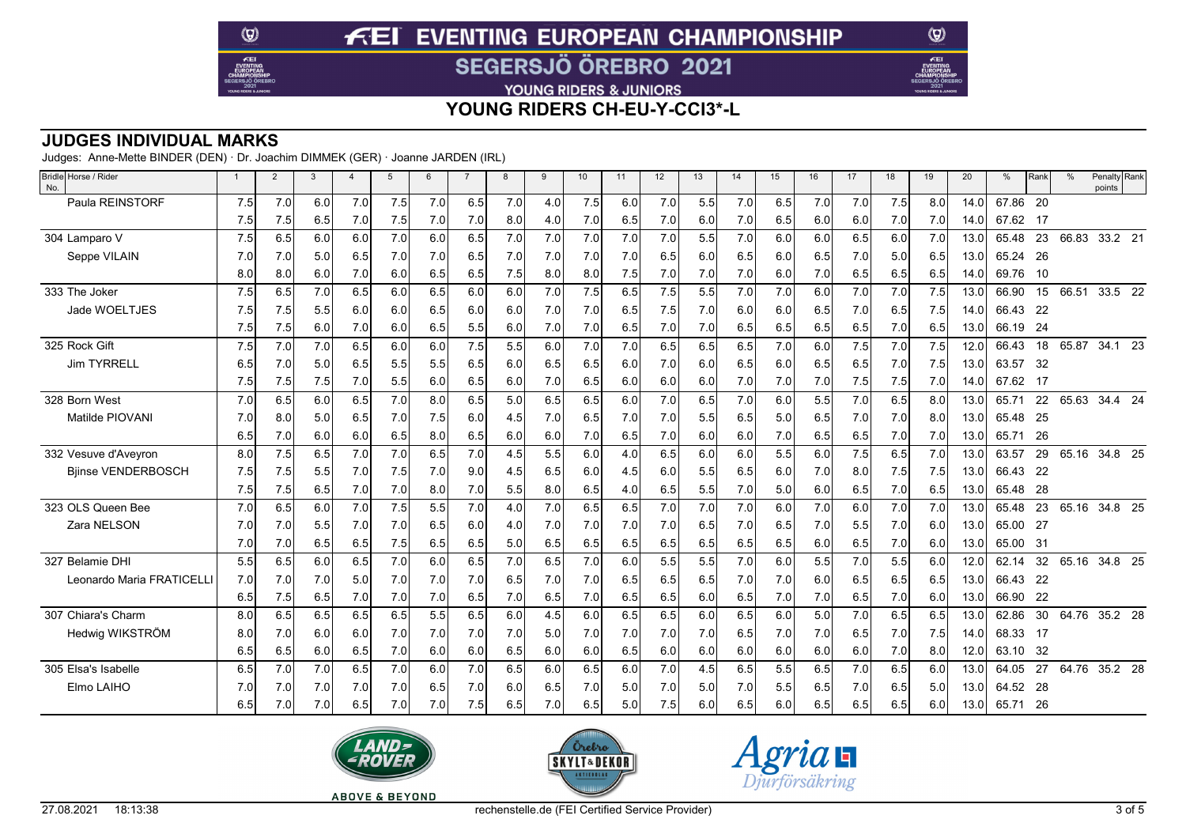## **FEI EVENTING EUROPEAN CHAMPIONSHIP**

**SEGERSJÖ ÖREBRO 2021** 

YOUNG RIDERS & JUNIORS

**YOUNG RIDERS CH-EU-Y-CCI3\*-L**

#### **JUDGES INDIVIDUAL MARKS**

Judges: Anne-Mette BINDER (DEN) · Dr. Joachim DIMMEK (GER) · Joanne JARDEN (IRL)

 $\circledcirc$ 

 $f(E)$ 

| Bridle Horse / Rider<br>No. | $\overline{1}$ | $\overline{2}$ | 3   | $\overline{4}$ | 5   | 6   | $\overline{7}$ | 8   | 9   | 10  | 11  | 12  | 13  | 14  | 15  | 16  | 17  | 18  | 19  | 20   | %        | Rank | $\frac{0}{0}$ | Penalty Rank<br>points |
|-----------------------------|----------------|----------------|-----|----------------|-----|-----|----------------|-----|-----|-----|-----|-----|-----|-----|-----|-----|-----|-----|-----|------|----------|------|---------------|------------------------|
| Paula REINSTORF             | 7.5            | 7.0            | 6.0 | 7.0            | 7.5 | 7.0 | 6.5            | 7.0 | 4.0 | 7.5 | 6.0 | 7.0 | 5.5 | 7.0 | 6.5 | 7.0 | 7.0 | 7.5 | 8.0 | 14.0 | 67.86    | -20  |               |                        |
|                             | 7.5            | 7.5            | 6.5 | 7.0            | 7.5 | 7.0 | 7.0            | 8.0 | 4.0 | 7.0 | 6.5 | 7.0 | 6.0 | 7.0 | 6.5 | 6.0 | 6.0 | 7.0 | 7.0 | 14.0 | 67.62    | -17  |               |                        |
| 304 Lamparo V               | 7.5            | 6.5            | 6.0 | 6.0            | 7.0 | 6.0 | 6.5            | 7.0 | 7.0 | 7.0 | 7.0 | 7.0 | 5.5 | 7.0 | 6.0 | 6.0 | 6.5 | 6.0 | 7.0 | 13.0 | 65.48    | 23   | 66.83         | 33.2 21                |
| Seppe VILAIN                | 7.0            | 7.0            | 5.0 | 6.5            | 7.0 | 7.0 | 6.5            | 7.0 | 7.0 | 7.0 | 7.0 | 6.5 | 6.0 | 6.5 | 6.0 | 6.5 | 7.0 | 5.0 | 6.5 | 13.0 | 65.24    | -26  |               |                        |
|                             | 8.0            | 8.0            | 6.0 | 7.0            | 6.0 | 6.5 | 6.5            | 7.5 | 8.0 | 8.0 | 7.5 | 7.0 | 7.0 | 7.0 | 6.0 | 7.0 | 6.5 | 6.5 | 6.5 | 14.0 | 69.76    | 10   |               |                        |
| 333 The Joker               | 7.5            | 6.5            | 7.0 | 6.5            | 6.0 | 6.5 | 6.0            | 6.0 | 7.0 | 7.5 | 6.5 | 7.5 | 5.5 | 7.0 | 7.0 | 6.0 | 7.0 | 7.0 | 7.5 | 13.0 | 66.90    | 15   | 66.51         | 33.5 22                |
| Jade WOELTJES               | 7.5            | 7.5            | 5.5 | 6.0            | 6.0 | 6.5 | 6.0            | 6.0 | 7.0 | 7.0 | 6.5 | 7.5 | 7.0 | 6.0 | 6.0 | 6.5 | 7.0 | 6.5 | 7.5 | 14.0 | 66.43    | -22  |               |                        |
|                             | 7.5            | 7.5            | 6.0 | 7.0            | 6.0 | 6.5 | 5.5            | 6.0 | 7.0 | 7.0 | 6.5 | 7.0 | 7.0 | 6.5 | 6.5 | 6.5 | 6.5 | 7.0 | 6.5 | 13.0 | 66.19    | 24   |               |                        |
| 325 Rock Gift               | 7.5            | 7.0            | 7.0 | 6.5            | 6.0 | 6.0 | 7.5            | 5.5 | 6.0 | 7.0 | 7.0 | 6.5 | 6.5 | 6.5 | 7.0 | 6.0 | 7.5 | 7.0 | 7.5 | 12.0 | 66.43    | 18   | 65.87         | $34.1\quad 23$         |
| <b>Jim TYRRELL</b>          | 6.5            | 7.0            | 5.0 | 6.5            | 5.5 | 5.5 | 6.5            | 6.0 | 6.5 | 6.5 | 6.0 | 7.0 | 6.0 | 6.5 | 6.0 | 6.5 | 6.5 | 7.0 | 7.5 | 13.0 | 63.57    | 32   |               |                        |
|                             | 7.5            | 7.5            | 7.5 | 7.0            | 5.5 | 6.0 | 6.5            | 6.0 | 7.0 | 6.5 | 6.0 | 6.0 | 6.0 | 7.0 | 7.0 | 7.0 | 7.5 | 7.5 | 7.0 | 14.0 | 67.62 17 |      |               |                        |
| 328 Born West               | 7.0            | 6.5            | 6.0 | 6.5            | 7.0 | 8.0 | 6.5            | 5.0 | 6.5 | 6.5 | 6.0 | 7.0 | 6.5 | 7.0 | 6.0 | 5.5 | 7.0 | 6.5 | 8.0 | 13.0 | 65.71    | 22   | 65.63         | 34.4 24                |
| Matilde PIOVANI             | 7.0            | 8.0            | 5.0 | 6.5            | 7.0 | 7.5 | 6.0            | 4.5 | 7.0 | 6.5 | 7.0 | 7.0 | 5.5 | 6.5 | 5.0 | 6.5 | 7.0 | 7.0 | 8.0 | 13.0 | 65.48    | - 25 |               |                        |
|                             | 6.5            | 7.0            | 6.0 | 6.0            | 6.5 | 8.0 | 6.5            | 6.0 | 6.0 | 7.0 | 6.5 | 7.0 | 6.0 | 6.0 | 7.0 | 6.5 | 6.5 | 7.0 | 7.0 | 13.0 | 65.71    | 26   |               |                        |
| 332 Vesuve d'Aveyron        | 8.0            | 7.5            | 6.5 | 7.0            | 7.0 | 6.5 | 7.0            | 4.5 | 5.5 | 6.0 | 4.0 | 6.5 | 6.0 | 6.0 | 5.5 | 6.0 | 7.5 | 6.5 | 7.0 | 13.0 | 63.57    | 29   |               | 65.16 34.8 25          |
| <b>Bjinse VENDERBOSCH</b>   | 7.5            | 7.5            | 5.5 | 7.0            | 7.5 | 7.0 | 9.0            | 4.5 | 6.5 | 6.0 | 4.5 | 6.0 | 5.5 | 6.5 | 6.0 | 7.0 | 8.0 | 7.5 | 7.5 | 13.0 | 66.43    | -22  |               |                        |
|                             | 7.5            | 7.5            | 6.5 | 7.0            | 7.0 | 8.0 | 7.0            | 5.5 | 8.0 | 6.5 | 4.0 | 6.5 | 5.5 | 7.0 | 5.0 | 6.0 | 6.5 | 7.0 | 6.5 | 13.0 | 65.48    | 28   |               |                        |
| 323 OLS Queen Bee           | 7.0            | 6.5            | 6.0 | 7.0            | 7.5 | 5.5 | 7.0            | 4.0 | 7.0 | 6.5 | 6.5 | 7.0 | 7.0 | 7.0 | 6.0 | 7.0 | 6.0 | 7.0 | 7.0 | 13.0 | 65.48    | 23   | 65.16         | $34.8\quad 25$         |
| Zara NELSON                 | 7.0            | 7.0            | 5.5 | 7.0            | 7.0 | 6.5 | 6.0            | 4.0 | 7.0 | 7.0 | 7.0 | 7.0 | 6.5 | 7.0 | 6.5 | 7.0 | 5.5 | 7.0 | 6.0 | 13.0 | 65.00    | -27  |               |                        |
|                             | 7.0            | 7.0            | 6.5 | 6.5            | 7.5 | 6.5 | 6.5            | 5.0 | 6.5 | 6.5 | 6.5 | 6.5 | 6.5 | 6.5 | 6.5 | 6.0 | 6.5 | 7.0 | 6.0 | 13.0 | 65.00    | -31  |               |                        |
| 327 Belamie DHI             | 5.5            | 6.5            | 6.0 | 6.5            | 7.0 | 6.0 | 6.5            | 7.0 | 6.5 | 7.0 | 6.0 | 5.5 | 5.5 | 7.0 | 6.0 | 5.5 | 7.0 | 5.5 | 6.0 | 12.0 | 62.14    | 32   | 65.16         | 34.8 25                |
| Leonardo Maria FRATICELLI   | 7.0            | 7.0            | 7.0 | 5.0            | 7.0 | 7.0 | 7.0            | 6.5 | 7.0 | 7.0 | 6.5 | 6.5 | 6.5 | 7.0 | 7.0 | 6.0 | 6.5 | 6.5 | 6.5 | 13.0 | 66.43    | - 22 |               |                        |
|                             | 6.5            | 7.5            | 6.5 | 7.0            | 7.0 | 7.0 | 6.5            | 7.0 | 6.5 | 7.0 | 6.5 | 6.5 | 6.0 | 6.5 | 7.0 | 7.0 | 6.5 | 7.0 | 6.0 | 13.0 | 66.90    | -22  |               |                        |
| 307 Chiara's Charm          | 8.0            | 6.5            | 6.5 | 6.5            | 6.5 | 5.5 | 6.5            | 6.0 | 4.5 | 6.0 | 6.5 | 6.5 | 6.0 | 6.5 | 6.0 | 5.0 | 7.0 | 6.5 | 6.5 | 13.0 | 62.86    | 30   |               | 64.76 35.2 28          |
| Hedwig WIKSTRÖM             | 8.0            | 7.0            | 6.0 | 6.0            | 7.0 | 7.0 | 7.0            | 7.0 | 5.0 | 7.0 | 7.0 | 7.0 | 7.0 | 6.5 | 7.0 | 7.0 | 6.5 | 7.0 | 7.5 | 14.0 | 68.33    | - 17 |               |                        |
|                             | 6.5            | 6.5            | 6.0 | 6.5            | 7.0 | 6.0 | 6.0            | 6.5 | 6.0 | 6.0 | 6.5 | 6.0 | 6.0 | 6.0 | 6.0 | 6.0 | 6.0 | 7.0 | 8.0 | 12.0 | 63.10    | -32  |               |                        |
| 305 Elsa's Isabelle         | 6.5            | 7.0            | 7.0 | 6.5            | 7.0 | 6.0 | 7.0            | 6.5 | 6.0 | 6.5 | 6.0 | 7.0 | 4.5 | 6.5 | 5.5 | 6.5 | 7.0 | 6.5 | 6.0 | 13.0 | 64.05    | 27   | 64.76         | 35.2 28                |
| Elmo LAIHO                  | 7.0            | 7.0            | 7.0 | 7.0            | 7.0 | 6.5 | 7.0            | 6.0 | 6.5 | 7.0 | 5.0 | 7.0 | 5.0 | 7.0 | 5.5 | 6.5 | 7.0 | 6.5 | 5.0 | 13.0 | 64.52    | -28  |               |                        |
|                             | 6.5            | 7.0            | 7.0 | 6.5            | 7.0 | 7.0 | 7.5            | 6.5 | 7.0 | 6.5 | 5.0 | 7.5 | 6.0 | 6.5 | 6.0 | 6.5 | 6.5 | 6.5 | 6.0 | 13.0 | 65.71    | 26   |               |                        |







 $\circledcirc$ 

Æ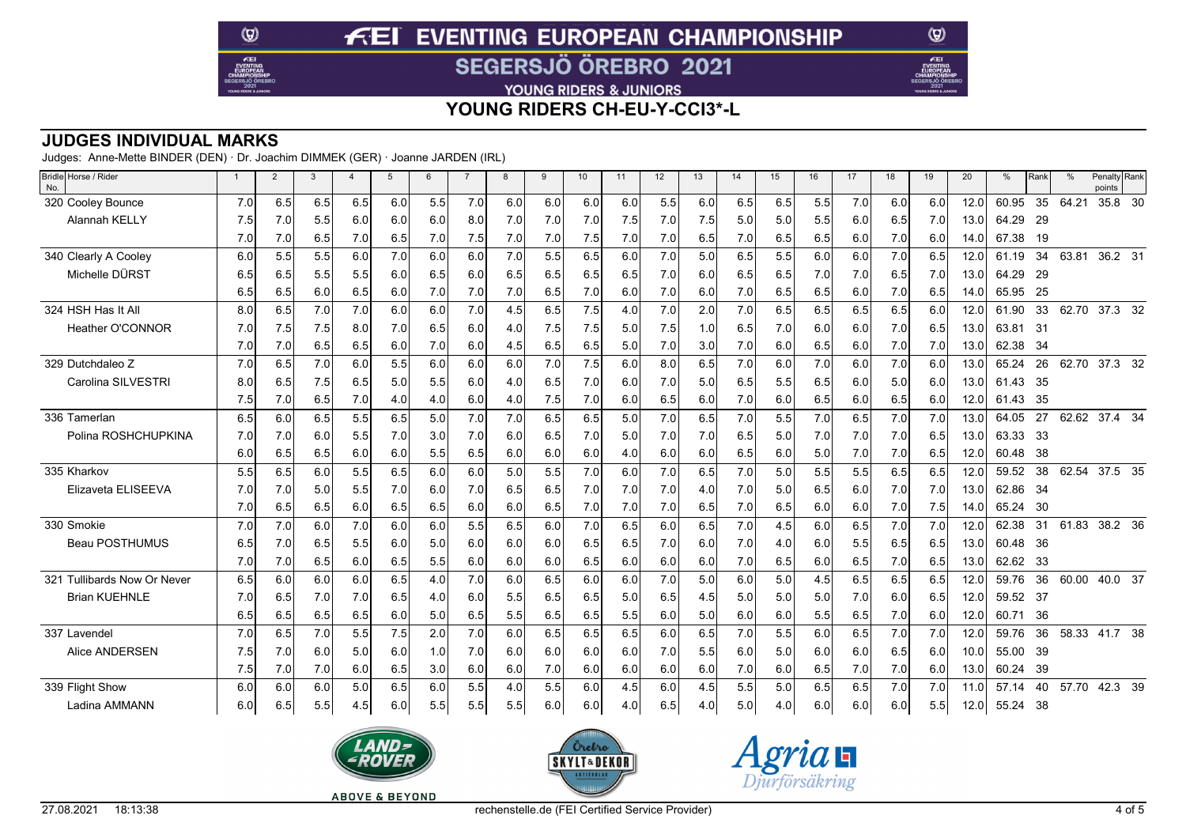### **FEI EVENTING EUROPEAN CHAMPIONSHIP SEGERSJÖ ÖREBRO 2021**

YOUNG RIDERS & JUNIORS

**YOUNG RIDERS CH-EU-Y-CCI3\*-L**

#### **JUDGES INDIVIDUAL MARKS**

Judges: Anne-Mette BINDER (DEN) · Dr. Joachim DIMMEK (GER) · Joanne JARDEN (IRL)

 $\circledcirc$ 

 $E$ EI

| Bridle Horse / Rider<br>No. | $\overline{1}$ | $\overline{2}$ | $\mathbf{3}$ | $\overline{4}$ | 5   | 6   | $\overline{7}$ | 8   | 9   | 10  | 11  | 12  | 13  | 14  | 15  | 16  | 17  | 18  | 19  | 20   | %        | Rank | $\frac{0}{0}$ | Penalty Rank<br>points    |  |
|-----------------------------|----------------|----------------|--------------|----------------|-----|-----|----------------|-----|-----|-----|-----|-----|-----|-----|-----|-----|-----|-----|-----|------|----------|------|---------------|---------------------------|--|
| 320 Cooley Bounce           | 7.0            | 6.5            | 6.5          | 6.5            | 6.0 | 5.5 | 7.0            | 6.0 | 6.0 | 6.0 | 6.0 | 5.5 | 6.0 | 6.5 | 6.5 | 5.5 | 7.0 | 6.0 | 6.0 | 12.0 | 60.95    | 35   | 64.21         | 35.8 30                   |  |
| <b>Alannah KELLY</b>        | 7.5            | 7.0            | 5.5          | 6.0            | 6.0 | 6.0 | 8.0            | 7.0 | 7.0 | 7.0 | 7.5 | 7.0 | 7.5 | 5.0 | 5.0 | 5.5 | 6.0 | 6.5 | 7.0 | 13.0 | 64.29    | -29  |               |                           |  |
|                             | 7.0            | 7.0            | 6.5          | 7.0            | 6.5 | 7.0 | 7.5            | 7.0 | 7.0 | 7.5 | 7.0 | 7.0 | 6.5 | 7.0 | 6.5 | 6.5 | 6.0 | 7.0 | 6.0 | 14.0 | 67.38    | -19  |               |                           |  |
| 340 Clearly A Cooley        | 6.0            | 5.5            | 5.5          | 6.0            | 7.0 | 6.0 | 6.0            | 7.0 | 5.5 | 6.5 | 6.0 | 7.0 | 5.0 | 6.5 | 5.5 | 6.0 | 6.0 | 7.0 | 6.5 | 12.0 | 61.19    | 34   | 63.81         | 36.2 31                   |  |
| Michelle DÜRST              | 6.5            | 6.5            | 5.5          | 5.5            | 6.0 | 6.5 | 6.0            | 6.5 | 6.5 | 6.5 | 6.5 | 7.0 | 6.0 | 6.5 | 6.5 | 7.0 | 7.0 | 6.5 | 7.0 | 13.0 | 64.29    | -29  |               |                           |  |
|                             | 6.5            | 6.5            | 6.0          | 6.5            | 6.0 | 7.0 | 7.0            | 7.0 | 6.5 | 7.0 | 6.0 | 7.0 | 6.0 | 7.0 | 6.5 | 6.5 | 6.0 | 7.0 | 6.5 | 14.0 | 65.95    | 25   |               |                           |  |
| 324 HSH Has It All          | 8.0            | 6.5            | 7.0          | 7.0            | 6.0 | 6.0 | 7.0            | 4.5 | 6.5 | 7.5 | 4.0 | 7.0 | 2.0 | 7.0 | 6.5 | 6.5 | 6.5 | 6.5 | 6.0 | 12.0 | 61.90    | 33   |               | 62.70 37.3 32             |  |
| <b>Heather O'CONNOR</b>     | 7.0            | 7.5            | 7.5          | 8.0            | 7.0 | 6.5 | 6.0            | 4.0 | 7.5 | 7.5 | 5.0 | 7.5 | 1.0 | 6.5 | 7.0 | 6.0 | 6.0 | 7.0 | 6.5 | 13.0 | 63.81    | -31  |               |                           |  |
|                             | 7.0            | 7.0            | 6.5          | 6.5            | 6.0 | 7.0 | 6.0            | 4.5 | 6.5 | 6.5 | 5.0 | 7.0 | 3.0 | 7.0 | 6.0 | 6.5 | 6.0 | 7.0 | 7.0 | 13.0 | 62.38    | - 34 |               |                           |  |
| 329 Dutchdaleo Z            | 7.0            | 6.5            | 7.0          | 6.0            | 5.5 | 6.0 | 6.0            | 6.0 | 7.0 | 7.5 | 6.0 | 8.0 | 6.5 | 7.0 | 6.0 | 7.0 | 6.0 | 7.0 | 6.0 | 13.0 | 65.24    | 26   | 62.70         | 37.3 32                   |  |
| Carolina SILVESTRI          | 8.0            | 6.5            | 7.5          | 6.5            | 5.0 | 5.5 | 6.0            | 4.0 | 6.5 | 7.0 | 6.0 | 7.0 | 5.0 | 6.5 | 5.5 | 6.5 | 6.0 | 5.0 | 6.0 | 13.0 | 61.43    | - 35 |               |                           |  |
|                             | 7.5            | 7.0            | 6.5          | 7.0            | 4.0 | 4.0 | 6.0            | 4.0 | 7.5 | 7.0 | 6.0 | 6.5 | 6.0 | 7.0 | 6.0 | 6.5 | 6.0 | 6.5 | 6.0 | 12.0 | 61.43    | 35   |               |                           |  |
| 336 Tamerlan                | 6.5            | 6.0            | 6.5          | 5.5            | 6.5 | 5.0 | 7.0            | 7.0 | 6.5 | 6.5 | 5.0 | 7.0 | 6.5 | 7.0 | 5.5 | 7.0 | 6.5 | 7.0 | 7.0 | 13.0 | 64.05    | 27   |               | 62.62 37.4 34             |  |
| Polina ROSHCHUPKINA         | 7.0            | 7.0            | 6.0          | 5.5            | 7.0 | 3.0 | 7.0            | 6.0 | 6.5 | 7.0 | 5.0 | 7.0 | 7.0 | 6.5 | 5.0 | 7.0 | 7.0 | 7.0 | 6.5 | 13.0 | 63.33 33 |      |               |                           |  |
|                             | 6.0            | 6.5            | 6.5          | 6.0            | 6.0 | 5.5 | 6.5            | 6.0 | 6.0 | 6.0 | 4.0 | 6.0 | 6.0 | 6.5 | 6.0 | 5.0 | 7.0 | 7.0 | 6.5 | 12.0 | 60.48    | 38   |               |                           |  |
| 335 Kharkov                 | 5.5            | 6.5            | 6.0          | 5.5            | 6.5 | 6.0 | 6.0            | 5.0 | 5.5 | 7.0 | 6.0 | 7.0 | 6.5 | 7.0 | 5.0 | 5.5 | 5.5 | 6.5 | 6.5 | 12.0 | 59.52    | 38   | 62.54         | 37.5 35                   |  |
| Elizaveta ELISEEVA          | 7.0            | 7.0            | 5.0          | 5.5            | 7.0 | 6.0 | 7.0            | 6.5 | 6.5 | 7.0 | 7.0 | 7.0 | 4.0 | 7.0 | 5.0 | 6.5 | 6.0 | 7.0 | 7.0 | 13.0 | 62.86    | -34  |               |                           |  |
|                             | 7.0            | 6.5            | 6.5          | 6.0            | 6.5 | 6.5 | 6.0            | 6.0 | 6.5 | 7.0 | 7.0 | 7.0 | 6.5 | 7.0 | 6.5 | 6.0 | 6.0 | 7.0 | 7.5 | 14.0 | 65.24 30 |      |               |                           |  |
| 330 Smokie                  | 7.0            | 7.0            | 6.0          | 7.0            | 6.0 | 6.0 | 5.5            | 6.5 | 6.0 | 7.0 | 6.5 | 6.0 | 6.5 | 7.0 | 4.5 | 6.0 | 6.5 | 7.0 | 7.0 | 12.0 | 62.38    | 31   | 61.83         | $38.2\quad \overline{36}$ |  |
| Beau POSTHUMUS              | 6.5            | 7.0            | 6.5          | 5.5            | 6.0 | 5.0 | 6.0            | 6.0 | 6.0 | 6.5 | 6.5 | 7.0 | 6.0 | 7.0 | 4.0 | 6.0 | 5.5 | 6.5 | 6.5 | 13.0 | 60.48    | - 36 |               |                           |  |
|                             | 7.0            | 7.0            | 6.5          | 6.0            | 6.5 | 5.5 | 6.0            | 6.0 | 6.0 | 6.5 | 6.0 | 6.0 | 6.0 | 7.0 | 6.5 | 6.0 | 6.5 | 7.0 | 6.5 | 13.0 | 62.62    | -33  |               |                           |  |
| 321 Tullibards Now Or Never | 6.5            | 6.0            | 6.0          | 6.0            | 6.5 | 4.0 | 7.0            | 6.0 | 6.5 | 6.0 | 6.0 | 7.0 | 5.0 | 6.0 | 5.0 | 4.5 | 6.5 | 6.5 | 6.5 | 12.0 | 59.76    | 36   | 60.00         | 40.0 37                   |  |
| <b>Brian KUEHNLE</b>        | 7.0            | 6.5            | 7.0          | 7.0            | 6.5 | 4.0 | 6.0            | 5.5 | 6.5 | 6.5 | 5.0 | 6.5 | 4.5 | 5.0 | 5.0 | 5.0 | 7.0 | 6.0 | 6.5 | 12.0 | 59.52 37 |      |               |                           |  |
|                             | 6.5            | 6.5            | 6.5          | 6.5            | 6.0 | 5.0 | 6.5            | 5.5 | 6.5 | 6.5 | 5.5 | 6.0 | 5.0 | 6.0 | 6.0 | 5.5 | 6.5 | 7.0 | 6.0 | 12.0 | 60.71    | 36   |               |                           |  |
| 337 Lavendel                | 7.0            | 6.5            | 7.0          | 5.5            | 7.5 | 2.0 | 7.0            | 6.0 | 6.5 | 6.5 | 6.5 | 6.0 | 6.5 | 7.0 | 5.5 | 6.0 | 6.5 | 7.0 | 7.0 | 12.0 | 59.76    | 36   |               | 58.33 41.7 38             |  |
| <b>Alice ANDERSEN</b>       | 7.5            | 7.0            | 6.0          | 5.0            | 6.0 | 1.0 | 7.0            | 6.0 | 6.0 | 6.0 | 6.0 | 7.0 | 5.5 | 6.0 | 5.0 | 6.0 | 6.0 | 6.5 | 6.0 | 10.0 | 55.00    | 39   |               |                           |  |
|                             | 7.5            | 7.0            | 7.0          | 6.0            | 6.5 | 3.0 | 6.0            | 6.0 | 7.0 | 6.0 | 6.0 | 6.0 | 6.0 | 7.0 | 6.0 | 6.5 | 7.0 | 7.0 | 6.0 | 13.0 | 60.24    | 39   |               |                           |  |
| 339 Flight Show             | 6.0            | 6.0            | 6.0          | 5.0            | 6.5 | 6.0 | 5.5            | 4.0 | 5.5 | 6.0 | 4.5 | 6.0 | 4.5 | 5.5 | 5.0 | 6.5 | 6.5 | 7.0 | 7.0 | 11.0 | 57.14    | 40   | 57.70         | 42.3 39                   |  |
| Ladina AMMANN               | 6.0            | 6.5            | 5.5          | 4.5            | 6.0 | 5.5 | 5.5            | 5.5 | 6.0 | 6.0 | 4.0 | 6.5 | 4.0 | 5.0 | 4.0 | 6.0 | 6.0 | 6.0 | 5.5 | 12.0 | 55.24 38 |      |               |                           |  |







 $\circledcirc$ 

Æ